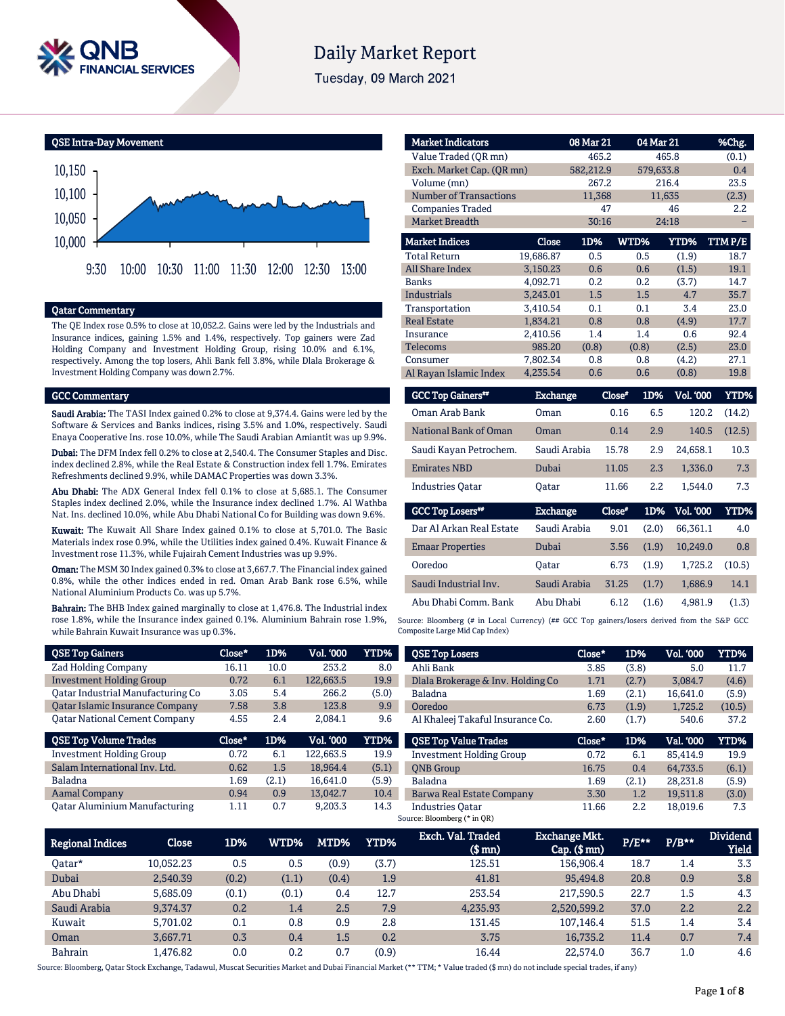

# **Daily Market Report**

Tuesday, 09 March 2021

QSE Intra-Day Movement



#### Qatar Commentary

The QE Index rose 0.5% to close at 10,052.2. Gains were led by the Industrials and Insurance indices, gaining 1.5% and 1.4%, respectively. Top gainers were Zad Holding Company and Investment Holding Group, rising 10.0% and 6.1%, respectively. Among the top losers, Ahli Bank fell 3.8%, while Dlala Brokerage & Investment Holding Company was down 2.7%.

#### GCC Commentary

Saudi Arabia: The TASI Index gained 0.2% to close at 9,374.4. Gains were led by the Software & Services and Banks indices, rising 3.5% and 1.0%, respectively. Saudi Enaya Cooperative Ins. rose 10.0%, while The Saudi Arabian Amiantit was up 9.9%.

Dubai: The DFM Index fell 0.2% to close at 2,540.4. The Consumer Staples and Disc. index declined 2.8%, while the Real Estate & Construction index fell 1.7%. Emirates Refreshments declined 9.9%, while DAMAC Properties was down 3.3%.

Abu Dhabi: The ADX General Index fell 0.1% to close at 5,685.1. The Consumer Staples index declined 2.0%, while the Insurance index declined 1.7%. Al Wathba Nat. Ins. declined 10.0%, while Abu Dhabi National Co for Building was down 9.6%.

Kuwait: The Kuwait All Share Index gained 0.1% to close at 5,701.0. The Basic Materials index rose 0.9%, while the Utilities index gained 0.4%. Kuwait Finance & Investment rose 11.3%, while Fujairah Cement Industries was up 9.9%.

Oman: The MSM 30 Index gained 0.3% to close at 3,667.7. The Financial index gained 0.8%, while the other indices ended in red. Oman Arab Bank rose 6.5%, while National Aluminium Products Co. was up 5.7%.

Bahrain: The BHB Index gained marginally to close at 1,476.8. The Industrial index rose 1.8%, while the Insurance index gained 0.1%. Aluminium Bahrain rose 1.9%, while Bahrain Kuwait Insurance was up 0.3%.

| <b>Market Indicators</b>      |                 | 08 Mar 21 |          | 04 Mar 21               | %Chg.       |
|-------------------------------|-----------------|-----------|----------|-------------------------|-------------|
| Value Traded (QR mn)          |                 | 465.2     |          | 465.8                   | (0.1)       |
| Exch. Market Cap. (QR mn)     |                 | 582,212.9 |          | 579,633.8               | 0.4         |
| Volume (mn)                   |                 | 267.2     |          | 216.4                   | 23.5        |
| <b>Number of Transactions</b> |                 | 11,368    |          | 11,635                  | (2.3)       |
| <b>Companies Traded</b>       |                 | 47        |          | 46                      | 2.2         |
| <b>Market Breadth</b>         |                 | 30:16     |          | 24:18                   |             |
| <b>Market Indices</b>         | <b>Close</b>    | 1D%       | WTD%     | <b>YTD%</b>             | TTMP/E      |
| <b>Total Return</b>           | 19,686.87       | 0.5       | 0.5      | (1.9)                   | 18.7        |
| <b>All Share Index</b>        | 3,150.23        | 0.6       | 0.6      | (1.5)                   | 19.1        |
| <b>Banks</b>                  | 4,092.71        | 0.2       | 0.2      | (3.7)                   | 14.7        |
| <b>Industrials</b>            | 3,243.01        | 1.5       | 1.5      | 4.7                     | 35.7        |
| Transportation                | 3,410.54        | 0.1       | 0.1      | 3.4                     | 23.0        |
| <b>Real Estate</b>            | 1,834.21        | 0.8       | 0.8      | (4.9)                   | 17.7        |
| Insurance                     | 2,410.56        | 1.4       | 1.4      | 0.6                     | 92.4        |
| <b>Telecoms</b>               | 985.20          | (0.8)     | (0.8)    | (2.5)                   | 23.0        |
| Consumer                      | 7,802.34        | 0.8       | 0.8      | (4.2)                   | 27.1        |
| Al Rayan Islamic Index        | 4,235.54        | 0.6       | 0.6      | (0.8)                   | 19.8        |
| <b>GCC Top Gainers**</b>      | <b>Exchange</b> |           | $Close*$ | 1D%<br><b>Vol. '000</b> | <b>YTD%</b> |
| Oman Arab Bank                | Oman            |           | 0.16     | 6.5<br>120.2            | (14.2)      |
| National Bank of Oman         | Oman            |           | 0.14     | 2.9<br>140.5            | (12.5)      |
| Saudi Kayan Petrochem.        | Saudi Arabia    |           | 15.78    | 2.9<br>24,658.1         | 10.3        |

Source: Bloomberg (# in Local Currency) (## GCC Top gainers/losers derived from the S&P GCC Composite Large Mid Cap Index)

Emirates NBD Dubai 11.05 2.3 1,336.0 7.3 Industries Qatar Qatar 11.66 2.2 1,544.0 7.3

Exchange Close#

Dar Al Arkan Real Estate Saudi Arabia 9.01 (2.0) 66,361.1 4.0 Emaar Properties Dubai 3.56 (1.9) 10,249.0 0.8 Ooredoo Qatar 6.73 (1.9) 1,725.2 (10.5) Saudi Industrial Inv. Saudi Arabia 31.25 (1.7) 1,686.9 14.1 Abu Dhabi Comm. Bank Abu Dhabi 6.12 (1.6) 4,981.9 (1.3)

1D% Vol. '000 YTD%

| QSE Top Gainers                        | Close* | 1D%   | Vol. '000 | YTD%  | <b>QSE Top Losers</b>             | Close*       | 1D%   | Vol. '000 | YTD%        |
|----------------------------------------|--------|-------|-----------|-------|-----------------------------------|--------------|-------|-----------|-------------|
| Zad Holding Company                    | 16.11  | 10.0  | 253.2     | 8.0   | Ahli Bank                         | 3.85         | (3.8) | 5.0       | 11.7        |
| <b>Investment Holding Group</b>        | 0.72   | 6.1   | 122,663.5 | 19.9  | Dlala Brokerage & Inv. Holding Co | 1.71         | (2.7) | 3.084.7   | (4.6)       |
| Oatar Industrial Manufacturing Co      | 3.05   | 5.4   | 266.2     | (5.0) | Baladna                           | 1.69         | (2.1) | 16.641.0  | (5.9)       |
| <b>Qatar Islamic Insurance Company</b> | 7.58   | 3.8   | 123.8     | 9.9   | Ooredoo                           | 6.73         | (1.9) | 1,725.2   | (10.5)      |
| <b>Qatar National Cement Company</b>   | 4.55   | 2.4   | 2.084.1   | 9.6   | Al Khaleej Takaful Insurance Co.  | 2.60         | (1.7) | 540.6     | 37.2        |
| <b>QSE Top Volume Trades</b>           | Close* | 1D%   | Vol. '000 | YTD%  | <b>QSE Top Value Trades</b>       | Close*       | 1D%   | Val. '000 | <b>YTD%</b> |
| <b>Investment Holding Group</b>        | 0.72   | 6.1   | 122.663.5 | 19.9  | <b>Investment Holding Group</b>   | 0.72         | 6.1   | 85,414.9  | 19.9        |
| Salam International Inv. Ltd.          | 0.62   | 1.5   | 18.964.4  | (5.1) | <b>ONB</b> Group                  | 16.75        | 0.4   | 64,733.5  | (6.1)       |
| Baladna                                | 1.69   | (2.1) | 16,641.0  | (5.9) | Baladna                           | 1.69         | (2.1) | 28,231.8  | (5.9)       |
| <b>Aamal Company</b>                   | 0.94   | 0.9   | 13,042.7  | 10.4  | Barwa Real Estate Company         | 3.30         | 1.2   | 19,511.8  | (3.0)       |
| <b>Oatar Aluminium Manufacturing</b>   | 1.11   | 0.7   | 9,203.3   | 14.3  | <b>Industries Oatar</b>           | 11.66        | 2.2   | 18,019.6  | 7.3         |
|                                        |        |       |           |       | Source: Bloomberg (* in OR)       |              |       |           |             |
|                                        |        |       |           |       | Fych Val Traded                   | Fychange Mkt |       |           | Diwidend    |

GCC Top Losers##

| Regional Indices | <b>Close</b> | 1D%   | WTD%  | MTD%  | <b>YTD%</b> | Exch. Val. Traded<br>$$$ mn $)$ | <b>Exchange Mkt.</b><br>$Cap.$ $(\$$ mn $)$ | P/E** | $P/B**$ | <b>Dividend</b><br><b>Yield</b> |
|------------------|--------------|-------|-------|-------|-------------|---------------------------------|---------------------------------------------|-------|---------|---------------------------------|
| Oatar*           | 10.052.23    | 0.5   | 0.5   | (0.9) | (3.7)       | 125.51                          | 156.906.4                                   | 18.7  | 1.4     | 3.3                             |
| Dubai            | 2.540.39     | (0.2) | (1.1) | (0.4) | 1.9         | 41.81                           | 95.494.8                                    | 20.8  | 0.9     | 3.8                             |
| Abu Dhabi        | 5.685.09     | (0.1) | (0.1) | 0.4   | 12.7        | 253.54                          | 217.590.5                                   | 22.7  | 1.5     | 4.3                             |
| Saudi Arabia     | 9.374.37     | 0.2   | 1.4   | 2.5   | 7.9         | 4,235.93                        | 2.520.599.2                                 | 37.0  | 2.2     | $2.2^{\circ}$                   |
| Kuwait           | 5.701.02     | 0.1   | 0.8   | 0.9   | 2.8         | 131.45                          | 107.146.4                                   | 51.5  | 1.4     | 3.4                             |
| Oman             | 3.667.71     | 0.3   | 0.4   | 1.5   | 0.2         | 3.75                            | 16.735.2                                    | 11.4  | 0.7     | 7.4                             |
| Bahrain          | 1.476.82     | 0.0   | 0.2   | 0.7   | (0.9)       | 16.44                           | 22.574.0                                    | 36.7  | 1.0     | 4.6                             |

Source: Bloomberg, Qatar Stock Exchange, Tadawul, Muscat Securities Market and Dubai Financial Market (\*\* TTM; \* Value traded (\$ mn) do not include special trades, if any)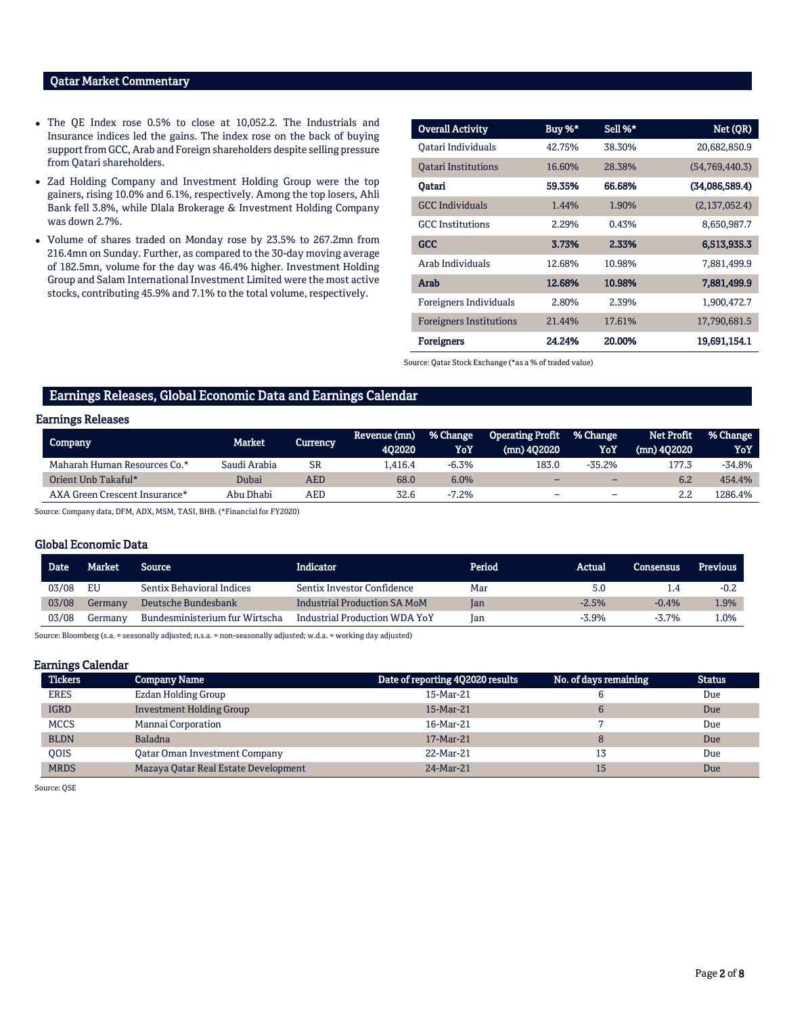### Qatar Market Commentary

- The QE Index rose 0.5% to close at 10,052.2. The Industrials and Insurance indices led the gains. The index rose on the back of buying support from GCC, Arab and Foreign shareholders despite selling pressure from Qatari shareholders.
- Zad Holding Company and Investment Holding Group were the top gainers, rising 10.0% and 6.1%, respectively. Among the top losers, Ahli Bank fell 3.8%, while Dlala Brokerage & Investment Holding Company was down 2.7%.
- Volume of shares traded on Monday rose by 23.5% to 267.2mn from 216.4mn on Sunday. Further, as compared to the 30-day moving average of 182.5mn, volume for the day was 46.4% higher. Investment Holding Group and Salam International Investment Limited were the most active stocks, contributing 45.9% and 7.1% to the total volume, respectively.

| <b>Overall Activity</b>        | Buy %* | Sell %* | Net (QR)       |
|--------------------------------|--------|---------|----------------|
| Qatari Individuals             | 42.75% | 38.30%  | 20,682,850.9   |
| <b>Oatari Institutions</b>     | 16.60% | 28.38%  | (54,769,440.3) |
| Oatari                         | 59.35% | 66.68%  | (34,086,589.4) |
| <b>GCC</b> Individuals         | 1.44%  | 1.90%   | (2,137,052.4)  |
| <b>GCC</b> Institutions        | 2.29%  | 0.43%   | 8,650,987.7    |
| <b>GCC</b>                     | 3.73%  | 2.33%   | 6,513,935.3    |
| Arab Individuals               | 12.68% | 10.98%  | 7,881,499.9    |
| Arab                           | 12.68% | 10.98%  | 7,881,499.9    |
| Foreigners Individuals         | 2.80%  | 2.39%   | 1,900,472.7    |
| <b>Foreigners Institutions</b> | 21.44% | 17.61%  | 17,790,681.5   |
| <b>Foreigners</b>              | 24.24% | 20.00%  | 19,691,154.1   |

Source: Qatar Stock Exchange (\*as a % of traded value)

# Earnings Releases, Global Economic Data and Earnings Calendar

# Earnings Releases

| Company                       | Market       | Currency   | Revenue (mn)<br>402020 | % Change<br>YoY | <b>Operating Profit</b><br>(mn) 402020 \ | % Change<br>YoY          | Net Profit<br>$(mn)$ 402020 | % Change<br>YoY |
|-------------------------------|--------------|------------|------------------------|-----------------|------------------------------------------|--------------------------|-----------------------------|-----------------|
| Maharah Human Resources Co.*  | Saudi Arabia | SR         | .416.4                 | $-6.3%$         | 183.0                                    | $-35.2\%$                | 177.3                       | -34.8%          |
| Orient Unb Takaful*           | Dubai        | <b>AED</b> | 68.0                   | 6.0%            |                                          | -                        | 6.2                         | 454.4%          |
| AXA Green Crescent Insurance* | Abu Dhabi    | AED        | 32.6                   | $-7.2%$         | -                                        | $\overline{\phantom{0}}$ |                             | L286.4%         |

Source: Company data, DFM, ADX, MSM, TASI, BHB. (\*Financial for FY2020)

#### Global Economic Data

| Date  | Market  | <b>Source</b>                    | <b>Indicator</b>              | Period | Actual  | <b>Consensus</b> | <b>Previous</b> |
|-------|---------|----------------------------------|-------------------------------|--------|---------|------------------|-----------------|
| 03/08 | EU      | <b>Sentix Behavioral Indices</b> | Sentix Investor Confidence    | Mar    | 5.0     | 1.4              | $-0.2$          |
| 03/08 | Germany | Deutsche Bundesbank              | Industrial Production SA MoM  | lan    | $-2.5%$ | $-0.4%$          | 1.9%            |
| 03/08 | Germanv | Bundesministerium fur Wirtscha   | Industrial Production WDA YoY | Jan    | $-3.9%$ | $-3.7%$          | $1.0\%$         |

Source: Bloomberg (s.a. = seasonally adjusted; n.s.a. = non-seasonally adjusted; w.d.a. = working day adjusted)

#### Earnings Calendar

| <b>Tickers</b> | <b>Company Name</b>                  | Date of reporting 4Q2020 results | No. of days remaining | <b>Status</b> |
|----------------|--------------------------------------|----------------------------------|-----------------------|---------------|
| <b>ERES</b>    | Ezdan Holding Group                  | 15-Mar-21                        |                       | Due           |
| <b>IGRD</b>    | <b>Investment Holding Group</b>      | 15-Mar-21                        |                       | Due           |
| <b>MCCS</b>    | Mannai Corporation                   | 16-Mar-21                        |                       | Due           |
| <b>BLDN</b>    | <b>Baladna</b>                       | 17-Mar-21                        |                       | Due           |
| OOIS           | Qatar Oman Investment Company        | 22-Mar-21                        | 13                    | Due           |
| <b>MRDS</b>    | Mazaya Qatar Real Estate Development | 24-Mar-21                        | 15                    | Due           |

Source: QSE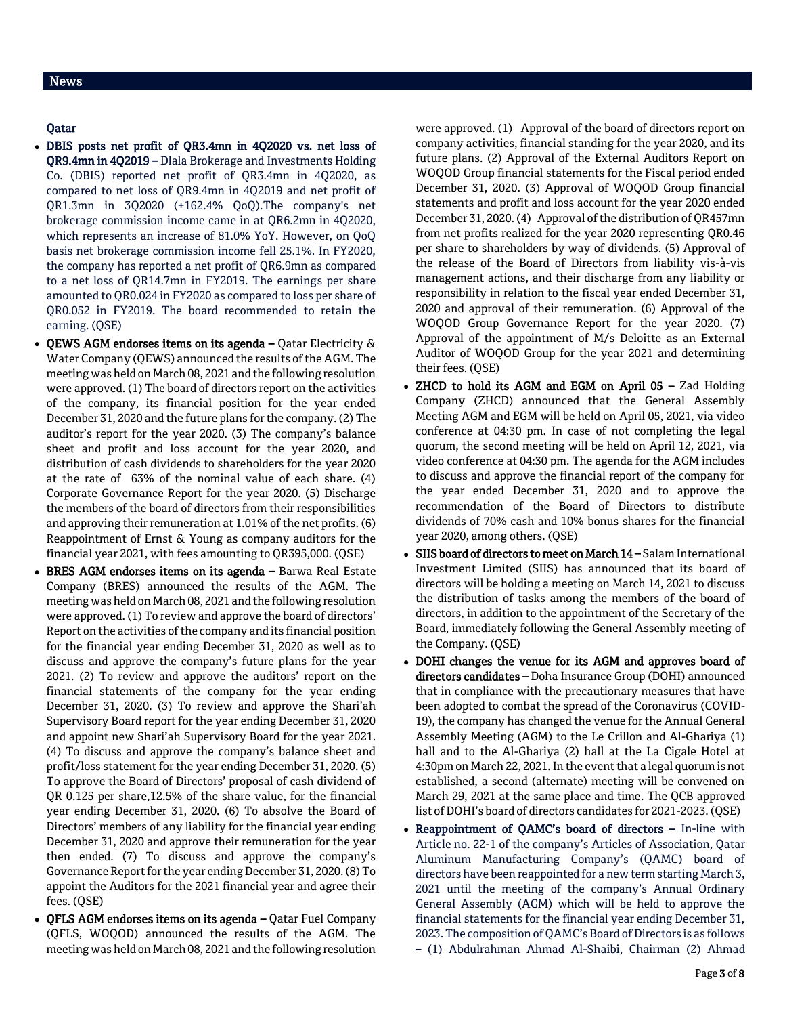# News

# Qatar

- DBIS posts net profit of QR3.4mn in 4Q2020 vs. net loss of QR9.4mn in 4Q2019 – Dlala Brokerage and Investments Holding Co. (DBIS) reported net profit of QR3.4mn in 4Q2020, as compared to net loss of QR9.4mn in 4Q2019 and net profit of QR1.3mn in 3Q2020 (+162.4% QoQ).The company's net brokerage commission income came in at QR6.2mn in 4Q2020, which represents an increase of 81.0% YoY. However, on QoQ basis net brokerage commission income fell 25.1%. In FY2020, the company has reported a net profit of QR6.9mn as compared to a net loss of QR14.7mn in FY2019. The earnings per share amounted to QR0.024 in FY2020 as compared to loss per share of QR0.052 in FY2019. The board recommended to retain the earning. (QSE)
- QEWS AGM endorses items on its agenda  $-$  Qatar Electricity  $\&$ Water Company (QEWS) announced the results of the AGM. The meeting was held on March 08, 2021 and the following resolution were approved. (1) The board of directors report on the activities of the company, its financial position for the year ended December 31, 2020 and the future plans for the company. (2) The auditor's report for the year 2020. (3) The company's balance sheet and profit and loss account for the year 2020, and distribution of cash dividends to shareholders for the year 2020 at the rate of 63% of the nominal value of each share. (4) Corporate Governance Report for the year 2020. (5) Discharge the members of the board of directors from their responsibilities and approving their remuneration at 1.01% of the net profits. (6) Reappointment of Ernst & Young as company auditors for the financial year 2021, with fees amounting to QR395,000. (QSE)
- BRES AGM endorses items on its agenda Barwa Real Estate Company (BRES) announced the results of the AGM. The meeting was held on March 08, 2021 and the following resolution were approved. (1) To review and approve the board of directors' Report on the activities of the company and its financial position for the financial year ending December 31, 2020 as well as to discuss and approve the company's future plans for the year 2021. (2) To review and approve the auditors' report on the financial statements of the company for the year ending December 31, 2020. (3) To review and approve the Shari'ah Supervisory Board report for the year ending December 31, 2020 and appoint new Shari'ah Supervisory Board for the year 2021. (4) To discuss and approve the company's balance sheet and profit/loss statement for the year ending December 31, 2020. (5) To approve the Board of Directors' proposal of cash dividend of QR 0.125 per share,12.5% of the share value, for the financial year ending December 31, 2020. (6) To absolve the Board of Directors' members of any liability for the financial year ending December 31, 2020 and approve their remuneration for the year then ended. (7) To discuss and approve the company's Governance Report for the year ending December 31, 2020. (8) To appoint the Auditors for the 2021 financial year and agree their fees. (QSE)
- QFLS AGM endorses items on its agenda Qatar Fuel Company (QFLS, WOQOD) announced the results of the AGM. The meeting was held on March 08, 2021 and the following resolution

were approved. (1) Approval of the board of directors report on company activities, financial standing for the year 2020, and its future plans. (2) Approval of the External Auditors Report on WOQOD Group financial statements for the Fiscal period ended December 31, 2020. (3) Approval of WOQOD Group financial statements and profit and loss account for the year 2020 ended December 31, 2020. (4) Approval of the distribution of QR457mn from net profits realized for the year 2020 representing QR0.46 per share to shareholders by way of dividends. (5) Approval of the release of the Board of Directors from liability vis-à-vis management actions, and their discharge from any liability or responsibility in relation to the fiscal year ended December 31, 2020 and approval of their remuneration. (6) Approval of the WOQOD Group Governance Report for the year 2020. (7) Approval of the appointment of M/s Deloitte as an External Auditor of WOQOD Group for the year 2021 and determining their fees. (QSE)

- ZHCD to hold its AGM and EGM on April 05 Zad Holding Company (ZHCD) announced that the General Assembly Meeting AGM and EGM will be held on April 05, 2021, via video conference at 04:30 pm. In case of not completing the legal quorum, the second meeting will be held on April 12, 2021, via video conference at 04:30 pm. The agenda for the AGM includes to discuss and approve the financial report of the company for the year ended December 31, 2020 and to approve the recommendation of the Board of Directors to distribute dividends of 70% cash and 10% bonus shares for the financial year 2020, among others. (QSE)
- SIIS board of directors to meet on March 14 Salam International Investment Limited (SIIS) has announced that its board of directors will be holding a meeting on March 14, 2021 to discuss the distribution of tasks among the members of the board of directors, in addition to the appointment of the Secretary of the Board, immediately following the General Assembly meeting of the Company. (QSE)
- DOHI changes the venue for its AGM and approves board of directors candidates - Doha Insurance Group (DOHI) announced that in compliance with the precautionary measures that have been adopted to combat the spread of the Coronavirus (COVID-19), the company has changed the venue for the Annual General Assembly Meeting (AGM) to the Le Crillon and Al-Ghariya (1) hall and to the Al-Ghariya (2) hall at the La Cigale Hotel at 4:30pm on March 22, 2021. In the event that a legal quorum is not established, a second (alternate) meeting will be convened on March 29, 2021 at the same place and time. The QCB approved list of DOHI's board of directors candidates for 2021-2023. (QSE)
- Reappointment of QAMC's board of directors In-line with Article no. 22-1 of the company's Articles of Association, Qatar Aluminum Manufacturing Company's (QAMC) board of directors have been reappointed for a new term starting March 3, 2021 until the meeting of the company's Annual Ordinary General Assembly (AGM) which will be held to approve the financial statements for the financial year ending December 31, 2023. The composition of QAMC's Board of Directors is as follows – (1) Abdulrahman Ahmad Al-Shaibi, Chairman (2) Ahmad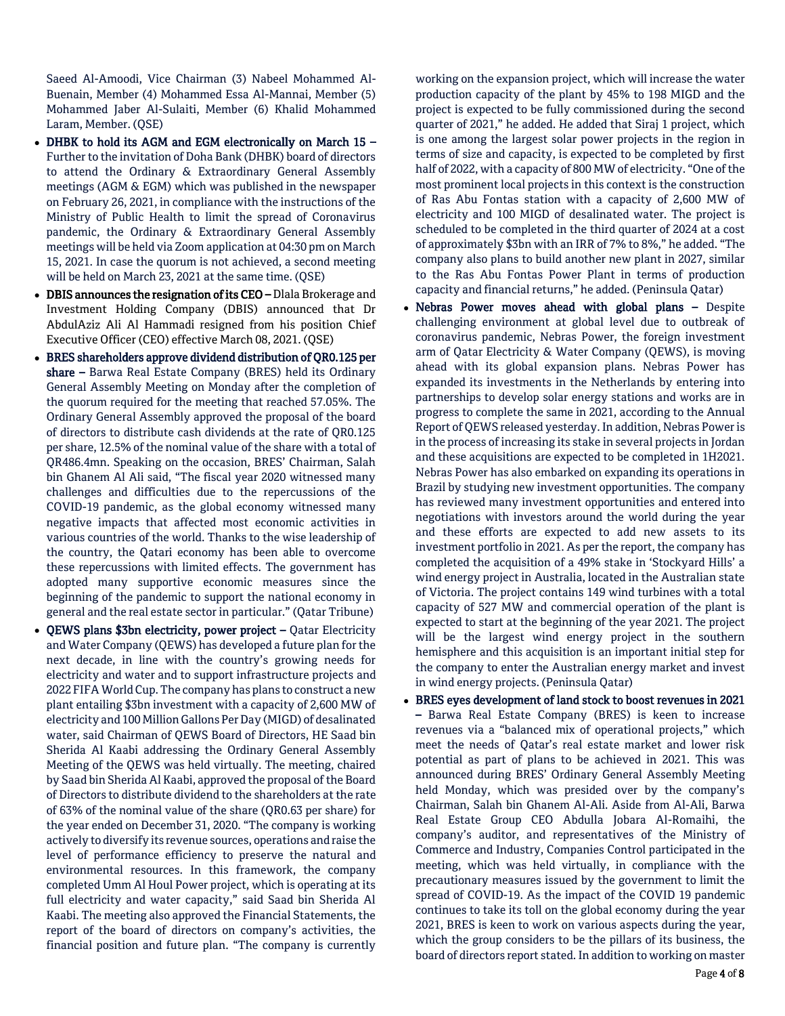Saeed Al-Amoodi, Vice Chairman (3) Nabeel Mohammed Al-Buenain, Member (4) Mohammed Essa Al-Mannai, Member (5) Mohammed Jaber Al-Sulaiti, Member (6) Khalid Mohammed Laram, Member. (QSE)

- DHBK to hold its AGM and EGM electronically on March 15 Further to the invitation of Doha Bank (DHBK) board of directors to attend the Ordinary & Extraordinary General Assembly meetings (AGM & EGM) which was published in the newspaper on February 26, 2021, in compliance with the instructions of the Ministry of Public Health to limit the spread of Coronavirus pandemic, the Ordinary & Extraordinary General Assembly meetings will be held via Zoom application at 04:30 pm on March 15, 2021. In case the quorum is not achieved, a second meeting will be held on March 23, 2021 at the same time. (QSE)
- DBIS announces the resignation of its CEO Dlala Brokerage and Investment Holding Company (DBIS) announced that Dr AbdulAziz Ali Al Hammadi resigned from his position Chief Executive Officer (CEO) effective March 08, 2021. (QSE)
- BRES shareholders approve dividend distribution of QR0.125 per share – Barwa Real Estate Company (BRES) held its Ordinary General Assembly Meeting on Monday after the completion of the quorum required for the meeting that reached 57.05%. The Ordinary General Assembly approved the proposal of the board of directors to distribute cash dividends at the rate of QR0.125 per share, 12.5% of the nominal value of the share with a total of QR486.4mn. Speaking on the occasion, BRES' Chairman, Salah bin Ghanem Al Ali said, "The fiscal year 2020 witnessed many challenges and difficulties due to the repercussions of the COVID-19 pandemic, as the global economy witnessed many negative impacts that affected most economic activities in various countries of the world. Thanks to the wise leadership of the country, the Qatari economy has been able to overcome these repercussions with limited effects. The government has adopted many supportive economic measures since the beginning of the pandemic to support the national economy in general and the real estate sector in particular." (Qatar Tribune)
- QEWS plans \$3bn electricity, power project Qatar Electricity and Water Company (QEWS) has developed a future plan for the next decade, in line with the country's growing needs for electricity and water and to support infrastructure projects and 2022 FIFA World Cup. The company has plans to construct a new plant entailing \$3bn investment with a capacity of 2,600 MW of electricity and 100 Million Gallons Per Day (MIGD) of desalinated water, said Chairman of QEWS Board of Directors, HE Saad bin Sherida Al Kaabi addressing the Ordinary General Assembly Meeting of the QEWS was held virtually. The meeting, chaired by Saad bin Sherida Al Kaabi, approved the proposal of the Board of Directors to distribute dividend to the shareholders at the rate of 63% of the nominal value of the share (QR0.63 per share) for the year ended on December 31, 2020. "The company is working actively to diversify its revenue sources, operations and raise the level of performance efficiency to preserve the natural and environmental resources. In this framework, the company completed Umm Al Houl Power project, which is operating at its full electricity and water capacity," said Saad bin Sherida Al Kaabi. The meeting also approved the Financial Statements, the report of the board of directors on company's activities, the financial position and future plan. "The company is currently

working on the expansion project, which will increase the water production capacity of the plant by 45% to 198 MIGD and the project is expected to be fully commissioned during the second quarter of 2021," he added. He added that Siraj 1 project, which is one among the largest solar power projects in the region in terms of size and capacity, is expected to be completed by first half of 2022, with a capacity of 800 MW of electricity. "One of the most prominent local projects in this context is the construction of Ras Abu Fontas station with a capacity of 2,600 MW of electricity and 100 MIGD of desalinated water. The project is scheduled to be completed in the third quarter of 2024 at a cost of approximately \$3bn with an IRR of 7% to 8%," he added. "The company also plans to build another new plant in 2027, similar to the Ras Abu Fontas Power Plant in terms of production capacity and financial returns," he added. (Peninsula Qatar)

- Nebras Power moves ahead with global plans Despite challenging environment at global level due to outbreak of coronavirus pandemic, Nebras Power, the foreign investment arm of Qatar Electricity & Water Company (QEWS), is moving ahead with its global expansion plans. Nebras Power has expanded its investments in the Netherlands by entering into partnerships to develop solar energy stations and works are in progress to complete the same in 2021, according to the Annual Report of QEWS released yesterday. In addition, Nebras Power is in the process of increasing its stake in several projects in Jordan and these acquisitions are expected to be completed in 1H2021. Nebras Power has also embarked on expanding its operations in Brazil by studying new investment opportunities. The company has reviewed many investment opportunities and entered into negotiations with investors around the world during the year and these efforts are expected to add new assets to its investment portfolio in 2021. As per the report, the company has completed the acquisition of a 49% stake in 'Stockyard Hills' a wind energy project in Australia, located in the Australian state of Victoria. The project contains 149 wind turbines with a total capacity of 527 MW and commercial operation of the plant is expected to start at the beginning of the year 2021. The project will be the largest wind energy project in the southern hemisphere and this acquisition is an important initial step for the company to enter the Australian energy market and invest in wind energy projects. (Peninsula Qatar)
- BRES eyes development of land stock to boost revenues in 2021 – Barwa Real Estate Company (BRES) is keen to increase revenues via a "balanced mix of operational projects," which meet the needs of Qatar's real estate market and lower risk potential as part of plans to be achieved in 2021. This was announced during BRES' Ordinary General Assembly Meeting held Monday, which was presided over by the company's Chairman, Salah bin Ghanem Al-Ali. Aside from Al-Ali, Barwa Real Estate Group CEO Abdulla Jobara Al-Romaihi, the company's auditor, and representatives of the Ministry of Commerce and Industry, Companies Control participated in the meeting, which was held virtually, in compliance with the precautionary measures issued by the government to limit the spread of COVID-19. As the impact of the COVID 19 pandemic continues to take its toll on the global economy during the year 2021, BRES is keen to work on various aspects during the year, which the group considers to be the pillars of its business, the board of directors report stated. In addition to working on master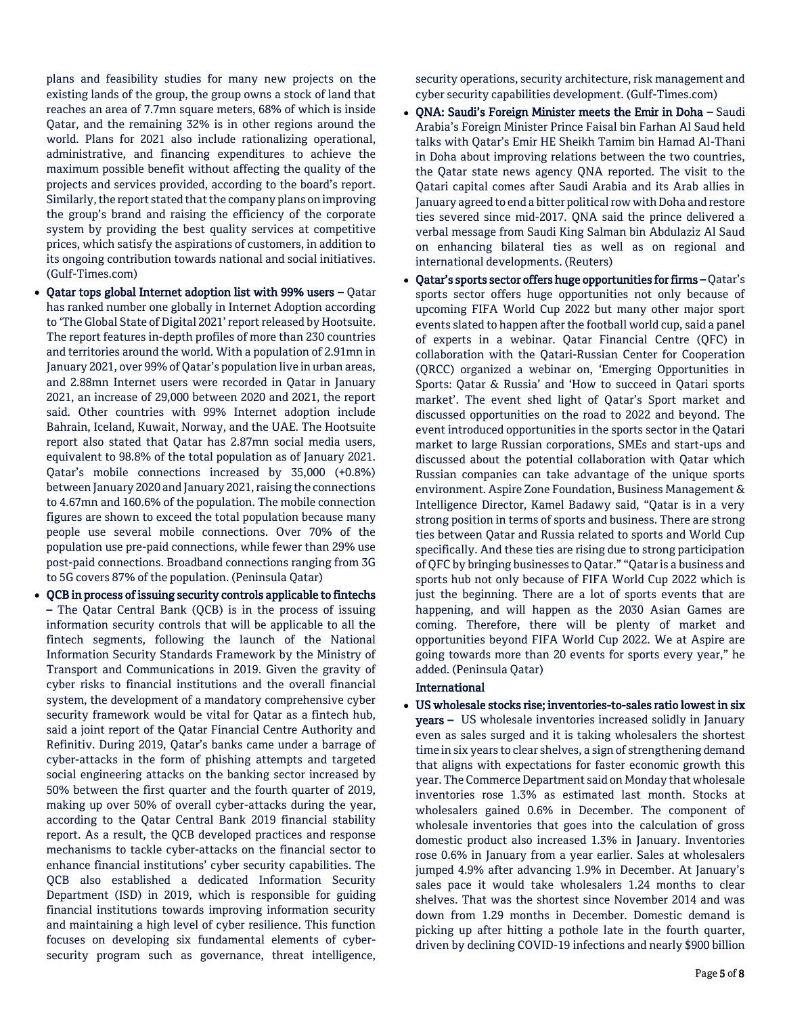plans and feasibility studies for many new projects on the existing lands of the group, the group owns a stock of land that reaches an area of 7.7mn square meters, 68% of which is inside Qatar, and the remaining 32% is in other regions around the world. Plans for 2021 also include rationalizing operational, administrative, and financing expenditures to achieve the maximum possible benefit without affecting the quality of the projects and services provided, according to the board's report. Similarly, the report stated that the company plans on improving the group's brand and raising the efficiency of the corporate system by providing the best quality services at competitive prices, which satisfy the aspirations of customers, in addition to its ongoing contribution towards national and social initiatives. (Gulf-Times.com)

- Qatar tops global Internet adoption list with 99% users Qatar has ranked number one globally in Internet Adoption according to 'The Global State of Digital 2021' report released by Hootsuite. The report features in-depth profiles of more than 230 countries and territories around the world. With a population of 2.91mn in January 2021, over 99% of Qatar's population live in urban areas, and 2.88mn Internet users were recorded in Qatar in January 2021, an increase of 29,000 between 2020 and 2021, the report said. Other countries with 99% Internet adoption include Bahrain, Iceland, Kuwait, Norway, and the UAE. The Hootsuite report also stated that Qatar has 2.87mn social media users, equivalent to 98.8% of the total population as of January 2021. Qatar's mobile connections increased by 35,000 (+0.8%) between January 2020 and January 2021, raising the connections to 4.67mn and 160.6% of the population. The mobile connection figures are shown to exceed the total population because many people use several mobile connections. Over 70% of the population use pre-paid connections, while fewer than 29% use post-paid connections. Broadband connections ranging from 3G to 5G covers 87% of the population. (Peninsula Qatar)
- QCB in process of issuing security controls applicable to fintechs – The Qatar Central Bank (QCB) is in the process of issuing information security controls that will be applicable to all the fintech segments, following the launch of the National Information Security Standards Framework by the Ministry of Transport and Communications in 2019. Given the gravity of cyber risks to financial institutions and the overall financial system, the development of a mandatory comprehensive cyber security framework would be vital for Qatar as a fintech hub, said a joint report of the Qatar Financial Centre Authority and Refinitiv. During 2019, Qatar's banks came under a barrage of cyber-attacks in the form of phishing attempts and targeted social engineering attacks on the banking sector increased by 50% between the first quarter and the fourth quarter of 2019, making up over 50% of overall cyber-attacks during the year, according to the Qatar Central Bank 2019 financial stability report. As a result, the QCB developed practices and response mechanisms to tackle cyber-attacks on the financial sector to enhance financial institutions' cyber security capabilities. The QCB also established a dedicated Information Security Department (ISD) in 2019, which is responsible for guiding financial institutions towards improving information security and maintaining a high level of cyber resilience. This function focuses on developing six fundamental elements of cybersecurity program such as governance, threat intelligence,

security operations, security architecture, risk management and cyber security capabilities development. (Gulf-Times.com)

- ONA: Saudi's Foreign Minister meets the Emir in Doha Saudi Arabia's Foreign Minister Prince Faisal bin Farhan Al Saud held talks with Qatar's Emir HE Sheikh Tamim bin Hamad Al-Thani in Doha about improving relations between the two countries, the Qatar state news agency QNA reported. The visit to the Qatari capital comes after Saudi Arabia and its Arab allies in January agreed to end a bitter political row with Doha and restore ties severed since mid-2017. QNA said the prince delivered a verbal message from Saudi King Salman bin Abdulaziz Al Saud on enhancing bilateral ties as well as on regional and international developments. (Reuters)
- Qatar's sports sector offers huge opportunities for firms Qatar's sports sector offers huge opportunities not only because of upcoming FIFA World Cup 2022 but many other major sport events slated to happen after the football world cup, said a panel of experts in a webinar. Qatar Financial Centre (QFC) in collaboration with the Qatari-Russian Center for Cooperation (QRCC) organized a webinar on, 'Emerging Opportunities in Sports: Qatar & Russia' and 'How to succeed in Qatari sports market'. The event shed light of Qatar's Sport market and discussed opportunities on the road to 2022 and beyond. The event introduced opportunities in the sports sector in the Qatari market to large Russian corporations, SMEs and start-ups and discussed about the potential collaboration with Qatar which Russian companies can take advantage of the unique sports environment. Aspire Zone Foundation, Business Management & Intelligence Director, Kamel Badawy said, "Qatar is in a very strong position in terms of sports and business. There are strong ties between Qatar and Russia related to sports and World Cup specifically. And these ties are rising due to strong participation of QFC by bringing businesses to Qatar." "Qatar is a business and sports hub not only because of FIFA World Cup 2022 which is just the beginning. There are a lot of sports events that are happening, and will happen as the 2030 Asian Games are coming. Therefore, there will be plenty of market and opportunities beyond FIFA World Cup 2022. We at Aspire are going towards more than 20 events for sports every year," he added. (Peninsula Qatar)

#### International

 US wholesale stocks rise; inventories-to-sales ratio lowest in six years – US wholesale inventories increased solidly in January even as sales surged and it is taking wholesalers the shortest time in six years to clear shelves, a sign of strengthening demand that aligns with expectations for faster economic growth this year. The Commerce Department said on Monday that wholesale inventories rose 1.3% as estimated last month. Stocks at wholesalers gained 0.6% in December. The component of wholesale inventories that goes into the calculation of gross domestic product also increased 1.3% in January. Inventories rose 0.6% in January from a year earlier. Sales at wholesalers jumped 4.9% after advancing 1.9% in December. At January's sales pace it would take wholesalers 1.24 months to clear shelves. That was the shortest since November 2014 and was down from 1.29 months in December. Domestic demand is picking up after hitting a pothole late in the fourth quarter, driven by declining COVID-19 infections and nearly \$900 billion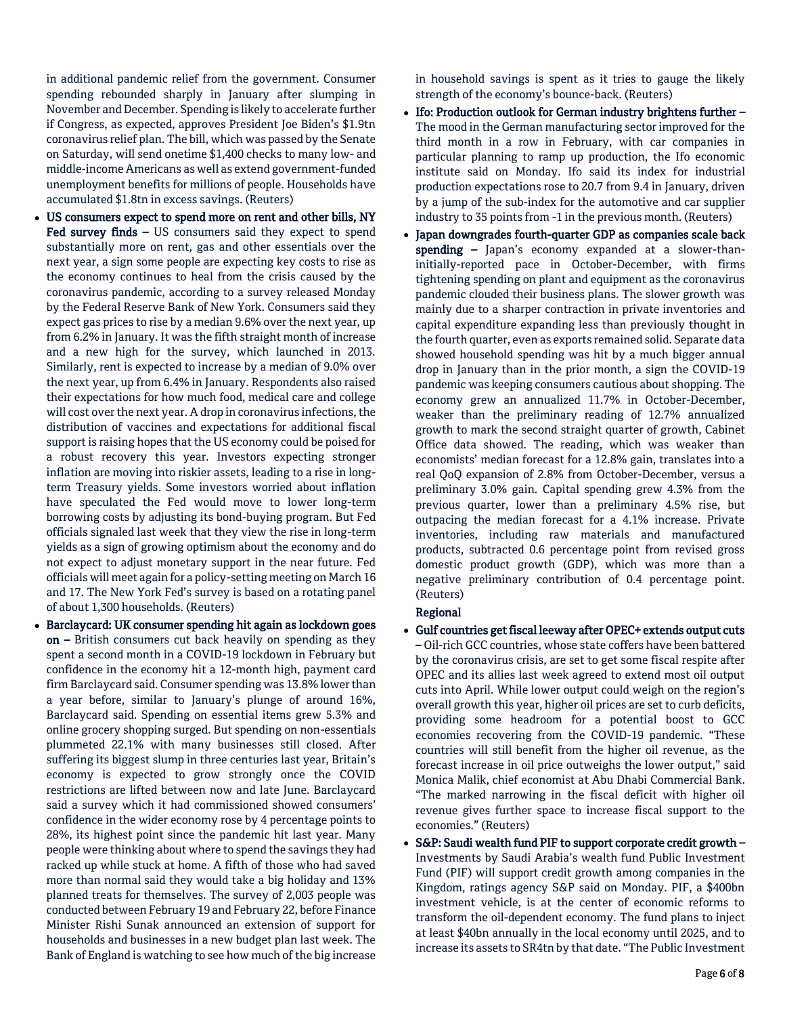in additional pandemic relief from the government. Consumer spending rebounded sharply in January after slumping in November and December. Spending is likely to accelerate further if Congress, as expected, approves President Joe Biden's \$1.9tn coronavirus relief plan. The bill, which was passed by the Senate on Saturday, will send onetime \$1,400 checks to many low- and middle-income Americans as well as extend government-funded unemployment benefits for millions of people. Households have accumulated \$1.8tn in excess savings. (Reuters)

- US consumers expect to spend more on rent and other bills, NY Fed survey finds - US consumers said they expect to spend substantially more on rent, gas and other essentials over the next year, a sign some people are expecting key costs to rise as the economy continues to heal from the crisis caused by the coronavirus pandemic, according to a survey released Monday by the Federal Reserve Bank of New York. Consumers said they expect gas prices to rise by a median 9.6% over the next year, up from 6.2% in January. It was the fifth straight month of increase and a new high for the survey, which launched in 2013. Similarly, rent is expected to increase by a median of 9.0% over the next year, up from 6.4% in January. Respondents also raised their expectations for how much food, medical care and college will cost over the next year. A drop in coronavirus infections, the distribution of vaccines and expectations for additional fiscal support is raising hopes that the US economy could be poised for a robust recovery this year. Investors expecting stronger inflation are moving into riskier assets, leading to a rise in longterm Treasury yields. Some investors worried about inflation have speculated the Fed would move to lower long-term borrowing costs by adjusting its bond-buying program. But Fed officials signaled last week that they view the rise in long-term yields as a sign of growing optimism about the economy and do not expect to adjust monetary support in the near future. Fed officials will meet again for a policy-setting meeting on March 16 and 17. The New York Fed's survey is based on a rotating panel of about 1,300 households. (Reuters)
- Barclaycard: UK consumer spending hit again as lockdown goes on – British consumers cut back heavily on spending as they spent a second month in a COVID-19 lockdown in February but confidence in the economy hit a 12-month high, payment card firm Barclaycard said. Consumer spending was 13.8% lower than a year before, similar to January's plunge of around 16%, Barclaycard said. Spending on essential items grew 5.3% and online grocery shopping surged. But spending on non-essentials plummeted 22.1% with many businesses still closed. After suffering its biggest slump in three centuries last year, Britain's economy is expected to grow strongly once the COVID restrictions are lifted between now and late June. Barclaycard said a survey which it had commissioned showed consumers' confidence in the wider economy rose by 4 percentage points to 28%, its highest point since the pandemic hit last year. Many people were thinking about where to spend the savings they had racked up while stuck at home. A fifth of those who had saved more than normal said they would take a big holiday and 13% planned treats for themselves. The survey of 2,003 people was conducted between February 19 and February 22, before Finance Minister Rishi Sunak announced an extension of support for households and businesses in a new budget plan last week. The Bank of England is watching to see how much of the big increase

in household savings is spent as it tries to gauge the likely strength of the economy's bounce-back. (Reuters)

- Ifo: Production outlook for German industry brightens further -The mood in the German manufacturing sector improved for the third month in a row in February, with car companies in particular planning to ramp up production, the Ifo economic institute said on Monday. Ifo said its index for industrial production expectations rose to 20.7 from 9.4 in January, driven by a jump of the sub-index for the automotive and car supplier industry to 35 points from -1 in the previous month. (Reuters)
- Japan downgrades fourth-quarter GDP as companies scale back spending - Japan's economy expanded at a slower-thaninitially-reported pace in October-December, with firms tightening spending on plant and equipment as the coronavirus pandemic clouded their business plans. The slower growth was mainly due to a sharper contraction in private inventories and capital expenditure expanding less than previously thought in the fourth quarter, even as exports remained solid. Separate data showed household spending was hit by a much bigger annual drop in January than in the prior month, a sign the COVID-19 pandemic was keeping consumers cautious about shopping. The economy grew an annualized 11.7% in October-December, weaker than the preliminary reading of 12.7% annualized growth to mark the second straight quarter of growth, Cabinet Office data showed. The reading, which was weaker than economists' median forecast for a 12.8% gain, translates into a real QoQ expansion of 2.8% from October-December, versus a preliminary 3.0% gain. Capital spending grew 4.3% from the previous quarter, lower than a preliminary 4.5% rise, but outpacing the median forecast for a 4.1% increase. Private inventories, including raw materials and manufactured products, subtracted 0.6 percentage point from revised gross domestic product growth (GDP), which was more than a negative preliminary contribution of 0.4 percentage point. (Reuters)

# Regional

- Gulf countries get fiscal leeway after OPEC+ extends output cuts – Oil-rich GCC countries, whose state coffers have been battered by the coronavirus crisis, are set to get some fiscal respite after OPEC and its allies last week agreed to extend most oil output cuts into April. While lower output could weigh on the region's overall growth this year, higher oil prices are set to curb deficits, providing some headroom for a potential boost to GCC economies recovering from the COVID-19 pandemic. "These countries will still benefit from the higher oil revenue, as the forecast increase in oil price outweighs the lower output," said Monica Malik, chief economist at Abu Dhabi Commercial Bank. "The marked narrowing in the fiscal deficit with higher oil revenue gives further space to increase fiscal support to the economies." (Reuters)
- S&P: Saudi wealth fund PIF to support corporate credit growth Investments by Saudi Arabia's wealth fund Public Investment Fund (PIF) will support credit growth among companies in the Kingdom, ratings agency S&P said on Monday. PIF, a \$400bn investment vehicle, is at the center of economic reforms to transform the oil-dependent economy. The fund plans to inject at least \$40bn annually in the local economy until 2025, and to increase its assets to SR4tn by that date. "The Public Investment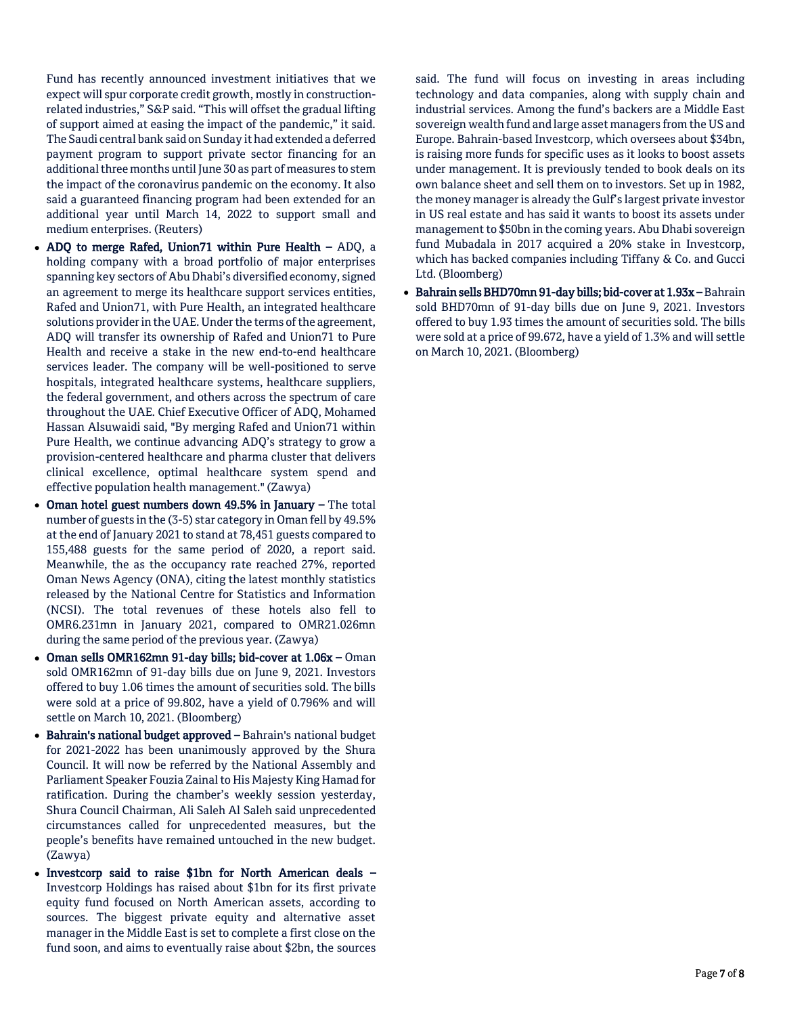Fund has recently announced investment initiatives that we expect will spur corporate credit growth, mostly in constructionrelated industries," S&P said. "This will offset the gradual lifting of support aimed at easing the impact of the pandemic," it said. The Saudi central bank said on Sunday it had extended a deferred payment program to support private sector financing for an additional three months until June 30 as part of measures to stem the impact of the coronavirus pandemic on the economy. It also said a guaranteed financing program had been extended for an additional year until March 14, 2022 to support small and medium enterprises. (Reuters)

- ADQ to merge Rafed, Union71 within Pure Health ADQ, a holding company with a broad portfolio of major enterprises spanning key sectors of Abu Dhabi's diversified economy, signed an agreement to merge its healthcare support services entities, Rafed and Union71, with Pure Health, an integrated healthcare solutions provider in the UAE. Under the terms of the agreement, ADQ will transfer its ownership of Rafed and Union71 to Pure Health and receive a stake in the new end-to-end healthcare services leader. The company will be well-positioned to serve hospitals, integrated healthcare systems, healthcare suppliers, the federal government, and others across the spectrum of care throughout the UAE. Chief Executive Officer of ADQ, Mohamed Hassan Alsuwaidi said, "By merging Rafed and Union71 within Pure Health, we continue advancing ADQ's strategy to grow a provision-centered healthcare and pharma cluster that delivers clinical excellence, optimal healthcare system spend and effective population health management." (Zawya)
- Oman hotel guest numbers down 49.5% in January The total number of guests in the (3-5) star category in Oman fell by 49.5% at the end of January 2021 to stand at 78,451 guests compared to 155,488 guests for the same period of 2020, a report said. Meanwhile, the as the occupancy rate reached 27%, reported Oman News Agency (ONA), citing the latest monthly statistics released by the National Centre for Statistics and Information (NCSI). The total revenues of these hotels also fell to OMR6.231mn in January 2021, compared to OMR21.026mn during the same period of the previous year. (Zawya)
- Oman sells OMR162mn 91-day bills; bid-cover at 1.06x Oman sold OMR162mn of 91-day bills due on June 9, 2021. Investors offered to buy 1.06 times the amount of securities sold. The bills were sold at a price of 99.802, have a yield of 0.796% and will settle on March 10, 2021. (Bloomberg)
- Bahrain's national budget approved Bahrain's national budget for 2021-2022 has been unanimously approved by the Shura Council. It will now be referred by the National Assembly and Parliament Speaker Fouzia Zainal to His Majesty King Hamad for ratification. During the chamber's weekly session yesterday, Shura Council Chairman, Ali Saleh Al Saleh said unprecedented circumstances called for unprecedented measures, but the people's benefits have remained untouched in the new budget. (Zawya)
- Investcorp said to raise \$1bn for North American deals Investcorp Holdings has raised about \$1bn for its first private equity fund focused on North American assets, according to sources. The biggest private equity and alternative asset manager in the Middle East is set to complete a first close on the fund soon, and aims to eventually raise about \$2bn, the sources

said. The fund will focus on investing in areas including technology and data companies, along with supply chain and industrial services. Among the fund's backers are a Middle East sovereign wealth fund and large asset managers from the US and Europe. Bahrain-based Investcorp, which oversees about \$34bn, is raising more funds for specific uses as it looks to boost assets under management. It is previously tended to book deals on its own balance sheet and sell them on to investors. Set up in 1982, the money manager is already the Gulf's largest private investor in US real estate and has said it wants to boost its assets under management to \$50bn in the coming years. Abu Dhabi sovereign fund Mubadala in 2017 acquired a 20% stake in Investcorp, which has backed companies including Tiffany & Co. and Gucci Ltd. (Bloomberg)

 Bahrain sells BHD70mn 91-day bills; bid-cover at 1.93x – Bahrain sold BHD70mn of 91-day bills due on June 9, 2021. Investors offered to buy 1.93 times the amount of securities sold. The bills were sold at a price of 99.672, have a yield of 1.3% and will settle on March 10, 2021. (Bloomberg)